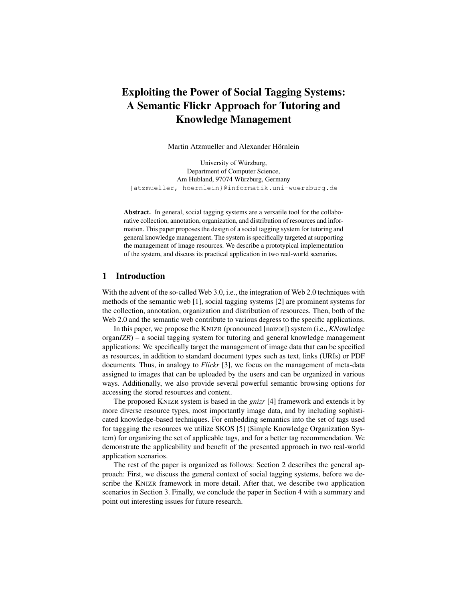# Exploiting the Power of Social Tagging Systems: A Semantic Flickr Approach for Tutoring and Knowledge Management

Martin Atzmueller and Alexander Hörnlein

University of Würzburg, Department of Computer Science, Am Hubland, 97074 Würzburg, Germany {atzmueller, hoernlein}@informatik.uni-wuerzburg.de

Abstract. In general, social tagging systems are a versatile tool for the collaborative collection, annotation, organization, and distribution of resources and information. This paper proposes the design of a social tagging system for tutoring and general knowledge management. The system is specifically targeted at supporting the management of image resources. We describe a prototypical implementation of the system, and discuss its practical application in two real-world scenarios.

## 1 Introduction

With the advent of the so-called Web 3.0, i.e., the integration of Web 2.0 techniques with methods of the semantic web [1], social tagging systems [2] are prominent systems for the collection, annotation, organization and distribution of resources. Then, both of the Web 2.0 and the semantic web contribute to various degress to the specific applications.

In this paper, we propose the KNIZR (pronounced [naizor]) system (i.e., *KN*owledge organ*IZR*) – a social tagging system for tutoring and general knowledge management applications: We specifically target the management of image data that can be specified as resources, in addition to standard document types such as text, links (URIs) or PDF documents. Thus, in analogy to *Flickr* [3], we focus on the management of meta-data assigned to images that can be uploaded by the users and can be organized in various ways. Additionally, we also provide several powerful semantic browsing options for accessing the stored resources and content.

The proposed KNIZR system is based in the *gnizr* [4] framework and extends it by more diverse resource types, most importantly image data, and by including sophisticated knowledge-based techniques. For embedding semantics into the set of tags used for taggging the resources we utilize SKOS [5] (Simple Knowledge Organization System) for organizing the set of applicable tags, and for a better tag recommendation. We demonstrate the applicability and benefit of the presented approach in two real-world application scenarios.

The rest of the paper is organized as follows: Section 2 describes the general approach: First, we discuss the general context of social tagging systems, before we describe the KNIZR framework in more detail. After that, we describe two application scenarios in Section 3. Finally, we conclude the paper in Section 4 with a summary and point out interesting issues for future research.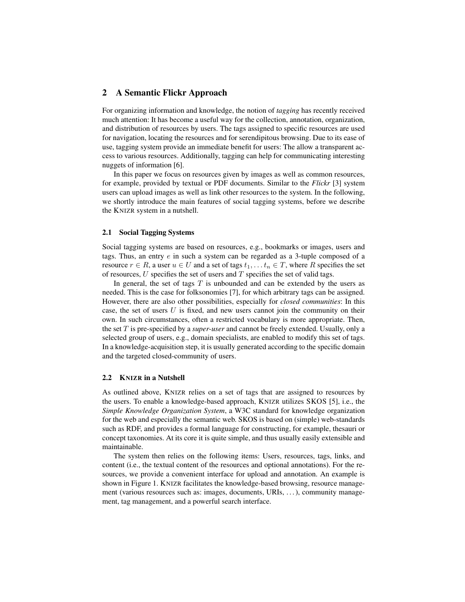## 2 A Semantic Flickr Approach

For organizing information and knowledge, the notion of *tagging* has recently received much attention: It has become a useful way for the collection, annotation, organization, and distribution of resources by users. The tags assigned to specific resources are used for navigation, locating the resources and for serendipitous browsing. Due to its ease of use, tagging system provide an immediate benefit for users: The allow a transparent access to various resources. Additionally, tagging can help for communicating interesting nuggets of information [6].

In this paper we focus on resources given by images as well as common resources, for example, provided by textual or PDF documents. Similar to the *Flickr* [3] system users can upload images as well as link other resources to the system. In the following, we shortly introduce the main features of social tagging systems, before we describe the KNIZR system in a nutshell.

#### 2.1 Social Tagging Systems

Social tagging systems are based on resources, e.g., bookmarks or images, users and tags. Thus, an entry  $e$  in such a system can be regarded as a 3-tuple composed of a resource  $r \in R$ , a user  $u \in U$  and a set of tags  $t_1, \ldots, t_n \in T$ , where R specifies the set of resources,  $U$  specifies the set of users and  $T$  specifies the set of valid tags.

In general, the set of tags  $T$  is unbounded and can be extended by the users as needed. This is the case for folksonomies [7], for which arbitrary tags can be assigned. However, there are also other possibilities, especially for *closed communities*: In this case, the set of users  $U$  is fixed, and new users cannot join the community on their own. In such circumstances, often a restricted vocabulary is more appropriate. Then, the set T is pre-specified by a *super-user* and cannot be freely extended. Usually, only a selected group of users, e.g., domain specialists, are enabled to modify this set of tags. In a knowledge-acquisition step, it is usually generated according to the specific domain and the targeted closed-community of users.

### 2.2 KNIZR in a Nutshell

As outlined above, KNIZR relies on a set of tags that are assigned to resources by the users. To enable a knowledge-based approach, KNIZR utilizes SKOS [5], i.e., the *Simple Knowledge Organization System*, a W3C standard for knowledge organization for the web and especially the semantic web. SKOS is based on (simple) web-standards such as RDF, and provides a formal language for constructing, for example, thesauri or concept taxonomies. At its core it is quite simple, and thus usually easily extensible and maintainable.

The system then relies on the following items: Users, resources, tags, links, and content (i.e., the textual content of the resources and optional annotations). For the resources, we provide a convenient interface for upload and annotation. An example is shown in Figure 1. KNIZR facilitates the knowledge-based browsing, resource management (various resources such as: images, documents, URIs, . . . ), community management, tag management, and a powerful search interface.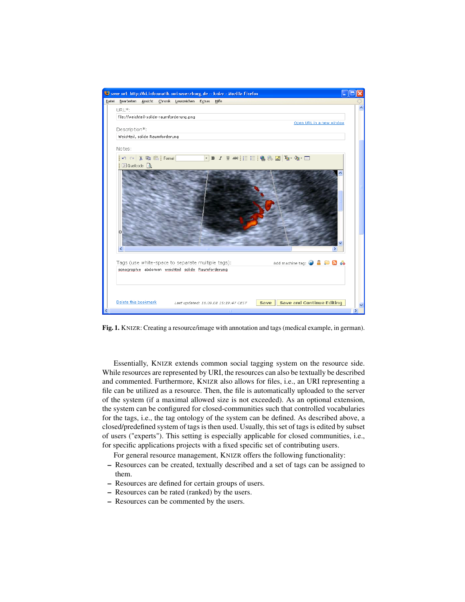

Fig. 1. KNIZR: Creating a resource/image with annotation and tags (medical example, in german).

Essentially, KNIZR extends common social tagging system on the resource side. While resources are represented by URI, the resources can also be textually be described and commented. Furthermore, KNIZR also allows for files, i.e., an URI representing a file can be utilized as a resource. Then, the file is automatically uploaded to the server of the system (if a maximal allowed size is not exceeded). As an optional extension, the system can be configured for closed-communities such that controlled vocabularies for the tags, i.e., the tag ontology of the system can be defined. As described above, a closed/predefined system of tags is then used. Usually, this set of tags is edited by subset of users ("experts"). This setting is especially applicable for closed communities, i.e., for specific applications projects with a fixed specific set of contributing users.

For general resource management, KNIZR offers the following functionality:

- Resources can be created, textually described and a set of tags can be assigned to them.
- Resources are defined for certain groups of users.
- Resources can be rated (ranked) by the users.
- Resources can be commented by the users.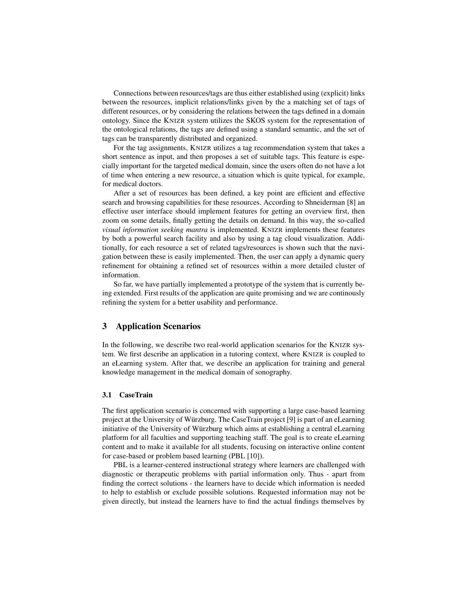Connections between resources/tags are thus either established using (explicit) links between the resources, implicit relations/links given by the a matching set of tags of different resources, or by considering the relations between the tags defined in a domain ontology. Since the KNIZR system utilizes the SKOS system for the representation of the ontological relations, the tags are defined using a standard semantic, and the set of tags can be transparently distributed and organized.

For the tag assignments, KNIZR utilizes a tag recommendation system that takes a short sentence as input, and then proposes a set of suitable tags. This feature is especially important for the targeted medical domain, since the users often do not have a lot of time when entering a new resource, a situation which is quite typical, for example, for medical doctors.

After a set of resources has been defined, a key point are efficient and effective search and browsing capabilities for these resources. According to Shneiderman [8] an effective user interface should implement features for getting an overview first, then zoom on some details, finally getting the details on demand. In this way, the so-called *visual information seeking mantra* is implemented. KNIZR implements these features by both a powerful search facility and also by using a tag cloud visualization. Additionally, for each resource a set of related tags/resources is shown such that the navigation between these is easily implemented. Then, the user can apply a dynamic query refinement for obtaining a refined set of resources within a more detailed cluster of information.

So far, we have partially implemented a prototype of the system that is currently being extended. First results of the application are quite promising and we are continously refining the system for a better usability and performance.

## 3 Application Scenarios

In the following, we describe two real-world application scenarios for the KNIZR system. We first describe an application in a tutoring context, where KNIZR is coupled to an eLearning system. After that, we describe an application for training and general knowledge management in the medical domain of sonography.

### 3.1 CaseTrain

The first application scenario is concerned with supporting a large case-based learning project at the University of Würzburg. The CaseTrain project [9] is part of an eLearning initiative of the University of Würzburg which aims at establishing a central eLearning platform for all faculties and supporting teaching staff. The goal is to create eLearning content and to make it available for all students, focusing on interactive online content for case-based or problem based learning (PBL [10]).

PBL is a learner-centered instructional strategy where learners are challenged with diagnostic or therapeutic problems with partial information only. Thus - apart from finding the correct solutions - the learners have to decide which information is needed to help to establish or exclude possible solutions. Requested information may not be given directly, but instead the learners have to find the actual findings themselves by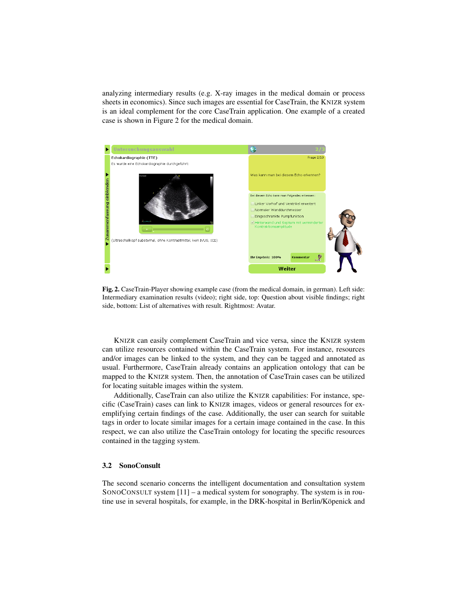analyzing intermediary results (e.g. X-ray images in the medical domain or process sheets in economics). Since such images are essential for CaseTrain, the KNIZR system is an ideal complement for the core CaseTrain application. One example of a created case is shown in Figure 2 for the medical domain.



Fig. 2. CaseTrain-Player showing example case (from the medical domain, in german). Left side: Intermediary examination results (video); right side, top: Question about visible findings; right side, bottom: List of alternatives with result. Rightmost: Avatar.

KNIZR can easily complement CaseTrain and vice versa, since the KNIZR system can utilize resources contained within the CaseTrain system. For instance, resources and/or images can be linked to the system, and they can be tagged and annotated as usual. Furthermore, CaseTrain already contains an application ontology that can be mapped to the KNIZR system. Then, the annotation of CaseTrain cases can be utilized for locating suitable images within the system.

Additionally, CaseTrain can also utilize the KNIZR capabilities: For instance, specific (CaseTrain) cases can link to KNIZR images, videos or general resources for exemplifying certain findings of the case. Additionally, the user can search for suitable tags in order to locate similar images for a certain image contained in the case. In this respect, we can also utilize the CaseTrain ontology for locating the specific resources contained in the tagging system.

#### 3.2 SonoConsult

The second scenario concerns the intelligent documentation and consultation system SONOCONSULT system [11] – a medical system for sonography. The system is in routine use in several hospitals, for example, in the DRK-hospital in Berlin/Köpenick and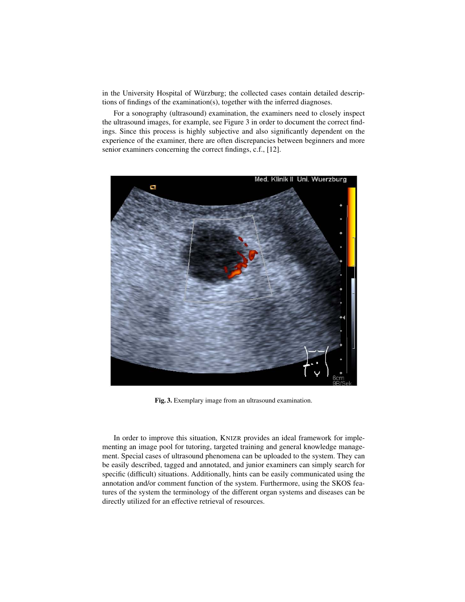in the University Hospital of Würzburg; the collected cases contain detailed descriptions of findings of the examination(s), together with the inferred diagnoses.

For a sonography (ultrasound) examination, the examiners need to closely inspect the ultrasound images, for example, see Figure 3 in order to document the correct findings. Since this process is highly subjective and also significantly dependent on the experience of the examiner, there are often discrepancies between beginners and more senior examiners concerning the correct findings, c.f., [12].



Fig. 3. Exemplary image from an ultrasound examination.

In order to improve this situation, KNIZR provides an ideal framework for implementing an image pool for tutoring, targeted training and general knowledge management. Special cases of ultrasound phenomena can be uploaded to the system. They can be easily described, tagged and annotated, and junior examiners can simply search for specific (difficult) situations. Additionally, hints can be easily communicated using the annotation and/or comment function of the system. Furthermore, using the SKOS features of the system the terminology of the different organ systems and diseases can be directly utilized for an effective retrieval of resources.